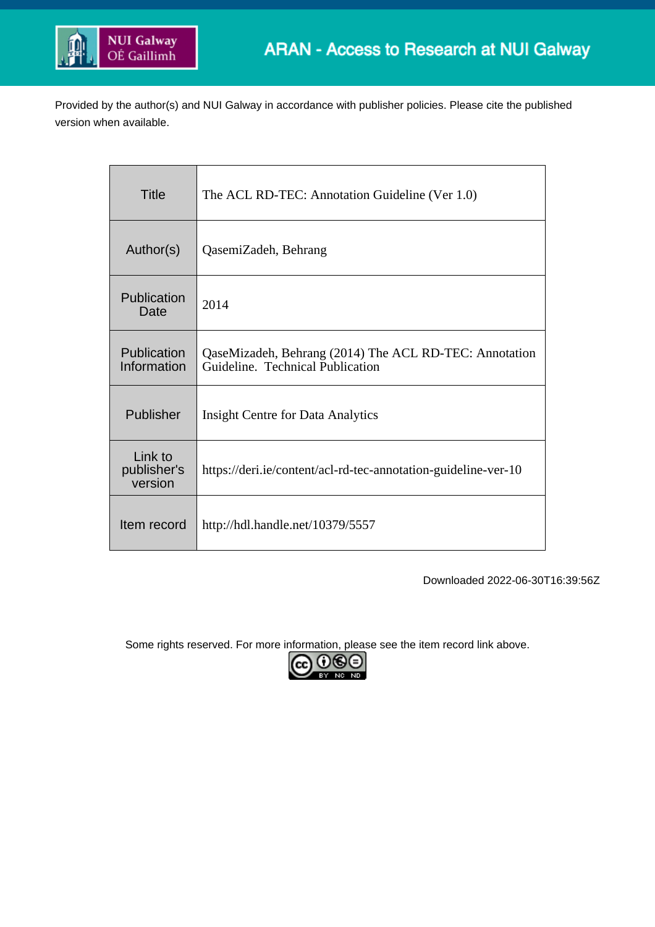

Provided by the author(s) and NUI Galway in accordance with publisher policies. Please cite the published version when available.

| Title                             | The ACL RD-TEC: Annotation Guideline (Ver 1.0)                                             |
|-----------------------------------|--------------------------------------------------------------------------------------------|
| Author(s)                         | QasemiZadeh, Behrang                                                                       |
| Publication<br>Date               | 2014                                                                                       |
| Publication<br>Information        | QaseMizadeh, Behrang (2014) The ACL RD-TEC: Annotation<br>Guideline. Technical Publication |
| Publisher                         | <b>Insight Centre for Data Analytics</b>                                                   |
| Link to<br>publisher's<br>version | https://deri.ie/content/acl-rd-tec-annotation-guideline-ver-10                             |
| Item record                       | http://hdl.handle.net/10379/5557                                                           |

Downloaded 2022-06-30T16:39:56Z

Some rights reserved. For more information, please see the item record link above.

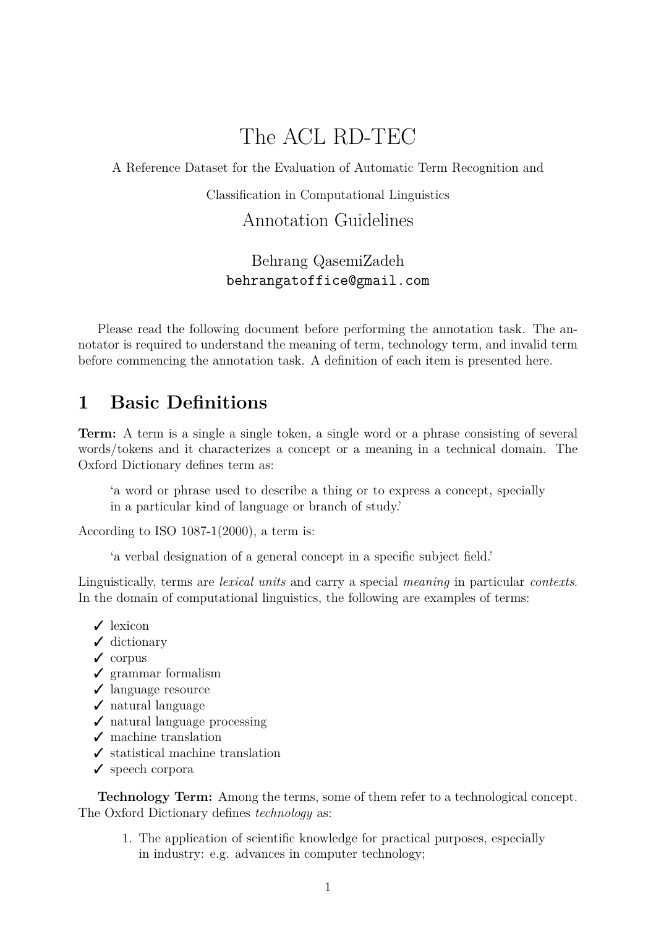# The ACL RD-TEC

A Reference Dataset for the Evaluation of Automatic Term Recognition and

Classification in Computational Linguistics

Annotation Guidelines

Behrang QasemiZadeh behrangatoffice@gmail.com

Please read the following document before performing the annotation task. The annotator is required to understand the meaning of term, technology term, and invalid term before commencing the annotation task. A definition of each item is presented here.

#### <span id="page-1-0"></span>**1 Basic Definitions**

**Term:** A term is a single a single token, a single word or a phrase consisting of several words/tokens and it characterizes a concept or a meaning in a technical domain. The Oxford Dictionary defines term as:

'a word or phrase used to describe a thing or to express a concept, specially in a particular kind of language or branch of study.'

According to ISO 1087-1(2000), a term is:

'a verbal designation of a general concept in a specific subject field.'

Linguistically, terms are *lexical units* and carry a special *meaning* in particular *contexts*. In the domain of computational linguistics, the following are examples of terms:

- $\angle$  lexicon
- $\checkmark$  dictionary
- $\checkmark$  corpus
- $\checkmark$  grammar formalism
- $\angle$  language resource
- $\angle$  natural language
- $\checkmark$  natural language processing
- $\checkmark$  machine translation
- $\checkmark$  statistical machine translation
- $\checkmark$  speech corpora

**Technology Term:** Among the terms, some of them refer to a technological concept. The Oxford Dictionary defines *technology* as:

1. The application of scientific knowledge for practical purposes, especially in industry: e.g. advances in computer technology;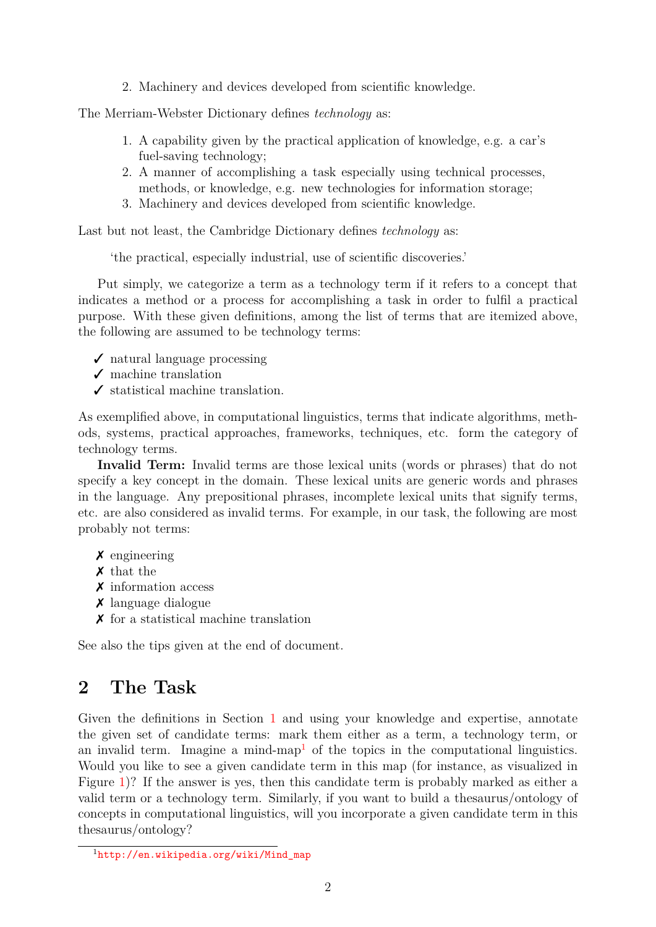2. Machinery and devices developed from scientific knowledge.

The Merriam-Webster Dictionary defines *technology* as:

- 1. A capability given by the practical application of knowledge, e.g. a car's fuel-saving technology;
- 2. A manner of accomplishing a task especially using technical processes, methods, or knowledge, e.g. new technologies for information storage;
- 3. Machinery and devices developed from scientific knowledge.

Last but not least, the Cambridge Dictionary defines *technology* as:

'the practical, especially industrial, use of scientific discoveries.'

Put simply, we categorize a term as a technology term if it refers to a concept that indicates a method or a process for accomplishing a task in order to fulfil a practical purpose. With these given definitions, among the list of terms that are itemized above, the following are assumed to be technology terms:

- $\checkmark$  natural language processing
- $\checkmark$  machine translation
- $\checkmark$  statistical machine translation.

As exemplified above, in computational linguistics, terms that indicate algorithms, methods, systems, practical approaches, frameworks, techniques, etc. form the category of technology terms.

**Invalid Term:** Invalid terms are those lexical units (words or phrases) that do not specify a key concept in the domain. These lexical units are generic words and phrases in the language. Any prepositional phrases, incomplete lexical units that signify terms, etc. are also considered as invalid terms. For example, in our task, the following are most probably not terms:

- $\chi$  engineering
- ✗ that the
- ✗ information access
- ✗ language dialogue
- $\chi$  for a statistical machine translation

See also the tips given at the end of document.

### **2 The Task**

Given the definitions in Section [1](#page-1-0) and using your knowledge and expertise, annotate the given set of candidate terms: mark them either as a term, a technology term, or an invalid term. Imagine a mind-map<sup>[1](#page-2-0)</sup> of the topics in the computational linguistics. Would you like to see a given candidate term in this map (for instance, as visualized in Figure [1\)](#page-4-0)? If the answer is yes, then this candidate term is probably marked as either a valid term or a technology term. Similarly, if you want to build a thesaurus/ontology of concepts in computational linguistics, will you incorporate a given candidate term in this thesaurus/ontology?

<span id="page-2-0"></span><sup>1</sup>[http://en.wikipedia.org/wiki/Mind\\_map](http://en.wikipedia.org/wiki/Mind_map)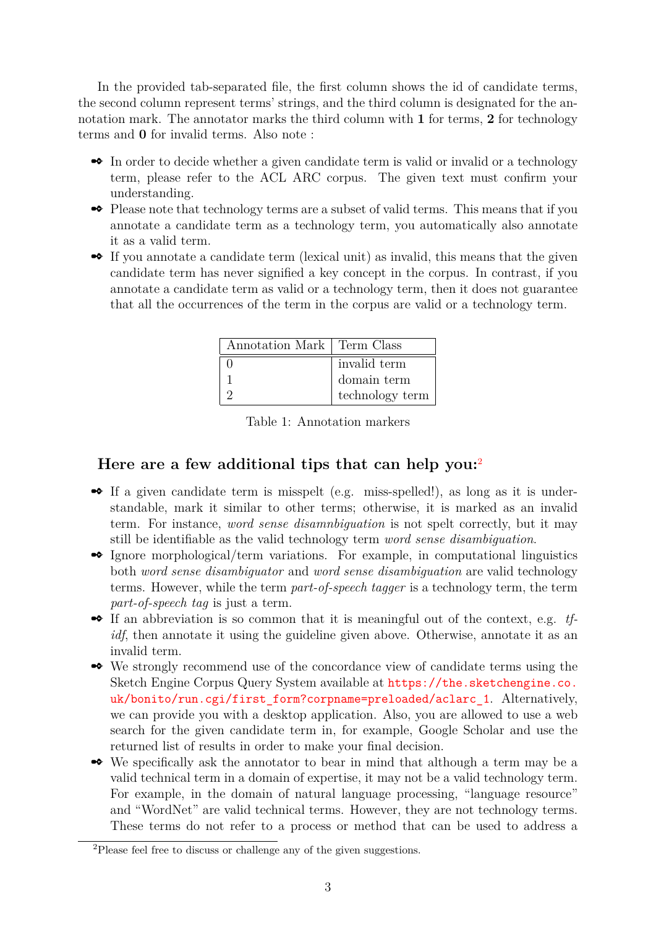In the provided tab-separated file, the first column shows the id of candidate terms, the second column represent terms' strings, and the third column is designated for the annotation mark. The annotator marks the third column with **1** for terms, **2** for technology terms and **0** for invalid terms. Also note :

- In order to decide whether a given candidate term is valid or invalid or a technology term, please refer to the ACL ARC corpus. The given text must confirm your understanding.
- ✒ Please note that technology terms are a subset of valid terms. This means that if you annotate a candidate term as a technology term, you automatically also annotate it as a valid term.
- If you annotate a candidate term (lexical unit) as invalid, this means that the given candidate term has never signified a key concept in the corpus. In contrast, if you annotate a candidate term as valid or a technology term, then it does not guarantee that all the occurrences of the term in the corpus are valid or a technology term.

| Annotation Mark   Term Class |                 |
|------------------------------|-----------------|
|                              | invalid term    |
|                              | domain term     |
|                              | technology term |

Table 1: Annotation markers

#### **Here are a few additional tips that can help you:**[2](#page-3-0)

- ✒ If a given candidate term is misspelt (e.g. miss-spelled!), as long as it is understandable, mark it similar to other terms; otherwise, it is marked as an invalid term. For instance, *word sense disamnbiguation* is not spelt correctly, but it may still be identifiable as the valid technology term *word sense disambiguation*.
- ✒ Ignore morphological/term variations. For example, in computational linguistics both *word sense disambiguator* and *word sense disambiguation* are valid technology terms. However, while the term *part-of-speech tagger* is a technology term, the term *part-of-speech tag* is just a term.
- If an abbreviation is so common that it is meaningful out of the context, e.g. *tfidf*, then annotate it using the guideline given above. Otherwise, annotate it as an invalid term.
- ✒ We strongly recommend use of the concordance view of candidate terms using the Sketch Engine Corpus Query System available at [https://the.sketchengine.co.](https://the.sketchengine.co.uk/bonito/run.cgi/first_form?corpname=preloaded/aclarc_1) uk/bonito/run.cgi/first form?corpname=preloaded/aclarc\_1. Alternatively, we can provide you with a desktop application. Also, you are allowed to use a web search for the given candidate term in, for example, Google Scholar and use the returned list of results in order to make your final decision.
- ✒ We specifically ask the annotator to bear in mind that although a term may be a valid technical term in a domain of expertise, it may not be a valid technology term. For example, in the domain of natural language processing, "language resource" and "WordNet" are valid technical terms. However, they are not technology terms. These terms do not refer to a process or method that can be used to address a

<span id="page-3-0"></span><sup>2</sup>Please feel free to discuss or challenge any of the given suggestions.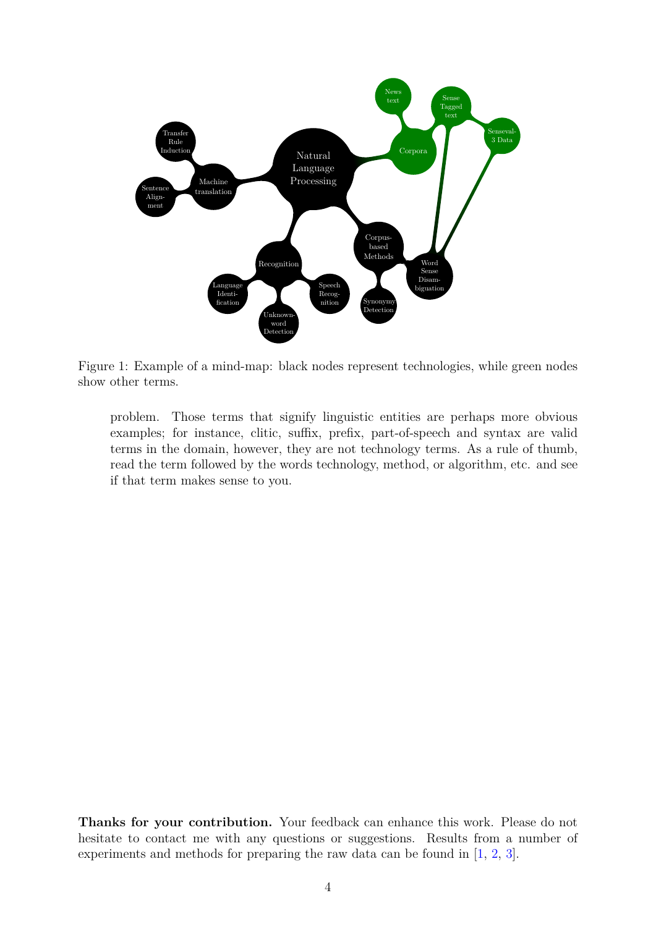

<span id="page-4-0"></span>Figure 1: Example of a mind-map: black nodes represent technologies, while green nodes show other terms.

problem. Those terms that signify linguistic entities are perhaps more obvious examples; for instance, clitic, suffix, prefix, part-of-speech and syntax are valid terms in the domain, however, they are not technology terms. As a rule of thumb, read the term followed by the words technology, method, or algorithm, etc. and see if that term makes sense to you.

**Thanks for your contribution.** Your feedback can enhance this work. Please do not hesitate to contact me with any questions or suggestions. Results from a number of experiments and methods for preparing the raw data can be found in [\[1,](#page-5-0) [2,](#page-5-1) [3\]](#page-5-2).